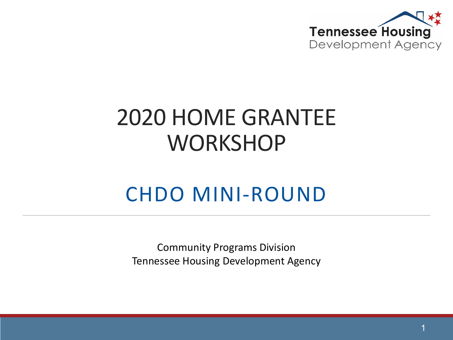

#### 2020 HOME GRANTEE **WORKSHOP**

#### CHDO MINI-ROUND

Community Programs Division Tennessee Housing Development Agency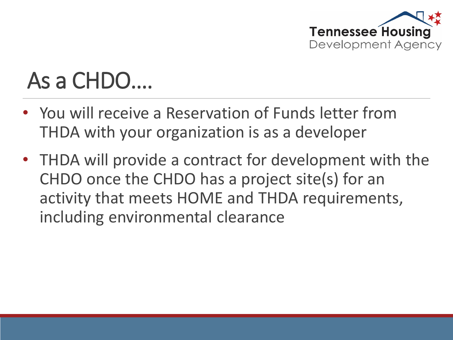

#### As a CHDO….

- You will receive a Reservation of Funds letter from THDA with your organization is as a developer
- THDA will provide a contract for development with the CHDO once the CHDO has a project site(s) for an activity that meets HOME and THDA requirements, including environmental clearance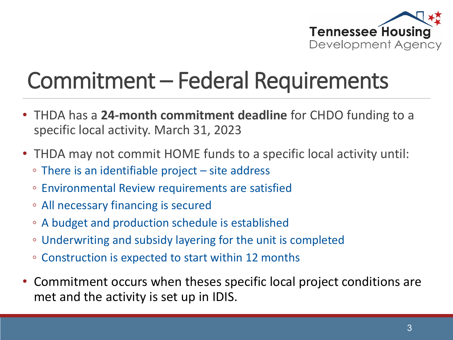

#### Commitment – Federal Requirements

- THDA has a **24-month commitment deadline** for CHDO funding to a specific local activity. March 31, 2023
- THDA may not commit HOME funds to a specific local activity until:
	- There is an identifiable project site address
	- Environmental Review requirements are satisfied
	- All necessary financing is secured
	- A budget and production schedule is established
	- Underwriting and subsidy layering for the unit is completed
	- Construction is expected to start within 12 months
- Commitment occurs when theses specific local project conditions are met and the activity is set up in IDIS.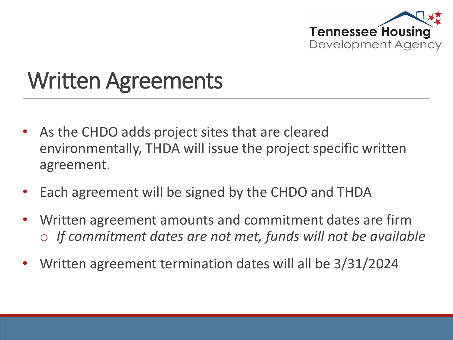

#### Written Agreements

- As the CHDO adds project sites that are cleared environmentally, THDA will issue the project specific written agreement.
- Each agreement will be signed by the CHDO and THDA
- Written agreement amounts and commitment dates are firm o *If commitment dates are not met, funds will not be available*
- Written agreement termination dates will all be 3/31/2024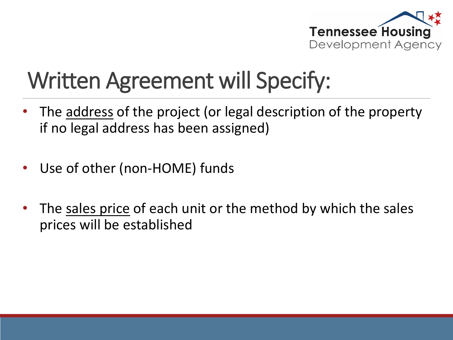

### Written Agreement will Specify:

- The address of the project (or legal description of the property if no legal address has been assigned)
- Use of other (non-HOME) funds
- The sales price of each unit or the method by which the sales prices will be established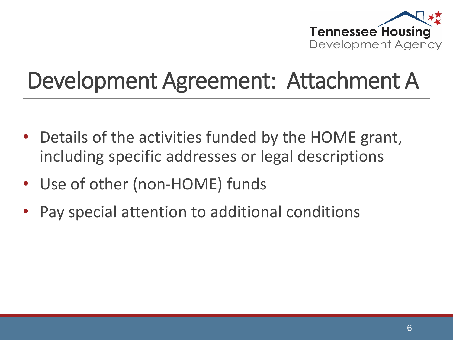

#### Development Agreement: Attachment A

- Details of the activities funded by the HOME grant, including specific addresses or legal descriptions
- Use of other (non-HOME) funds
- Pay special attention to additional conditions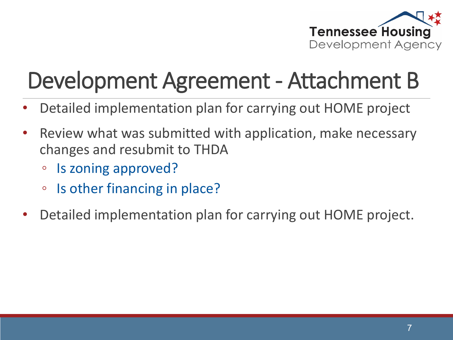

### Development Agreement - Attachment B

- Detailed implementation plan for carrying out HOME project
- Review what was submitted with application, make necessary changes and resubmit to THDA
	- Is zoning approved?
	- Is other financing in place?
- Detailed implementation plan for carrying out HOME project.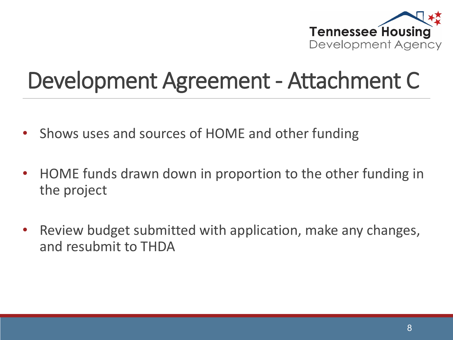

#### Development Agreement - Attachment C

- Shows uses and sources of HOME and other funding
- HOME funds drawn down in proportion to the other funding in the project
- Review budget submitted with application, make any changes, and resubmit to THDA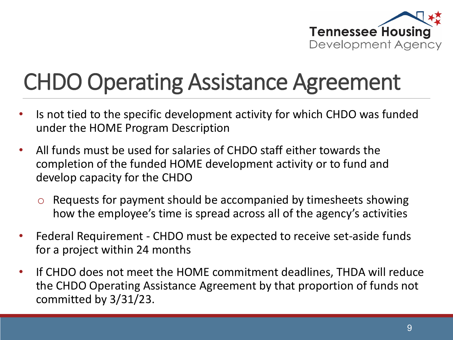

#### CHDO Operating Assistance Agreement

- Is not tied to the specific development activity for which CHDO was funded under the HOME Program Description
- All funds must be used for salaries of CHDO staff either towards the completion of the funded HOME development activity or to fund and develop capacity for the CHDO
	- $\circ$  Requests for payment should be accompanied by timesheets showing how the employee's time is spread across all of the agency's activities
- Federal Requirement CHDO must be expected to receive set-aside funds for a project within 24 months
- If CHDO does not meet the HOME commitment deadlines, THDA will reduce the CHDO Operating Assistance Agreement by that proportion of funds not committed by 3/31/23.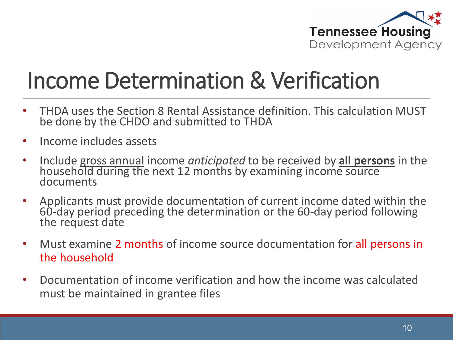

#### Income Determination & Verification

- THDA uses the Section 8 Rental Assistance definition. This calculation MUST be done by the CHDO and submitted to THDA
- Income includes assets
- Include gross annual income *anticipated* to be received by **all persons** in the household during the next 12 months by examining income source documents
- Applicants must provide documentation of current income dated within the 60-day period preceding the determination or the 60-day period following the request date
- Must examine 2 months of income source documentation for all persons in the household
- Documentation of income verification and how the income was calculated must be maintained in grantee files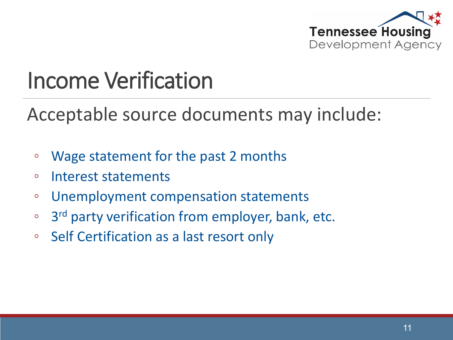

#### Income Verification

Acceptable source documents may include:

- Wage statement for the past 2 months
- Interest statements
- Unemployment compensation statements
- 3rd party verification from employer, bank, etc.
- Self Certification as a last resort only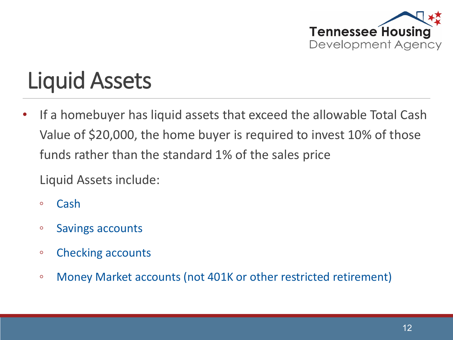

#### Liquid Assets

If a homebuyer has liquid assets that exceed the allowable Total Cash Value of \$20,000, the home buyer is required to invest 10% of those funds rather than the standard 1% of the sales price

Liquid Assets include:

- Cash
- Savings accounts
- Checking accounts
- Money Market accounts (not 401K or other restricted retirement)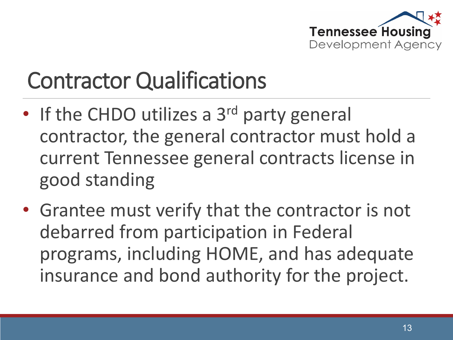

#### Contractor Qualifications

- If the CHDO utilizes a 3<sup>rd</sup> party general contractor, the general contractor must hold a current Tennessee general contracts license in good standing
- Grantee must verify that the contractor is not debarred from participation in Federal programs, including HOME, and has adequate insurance and bond authority for the project.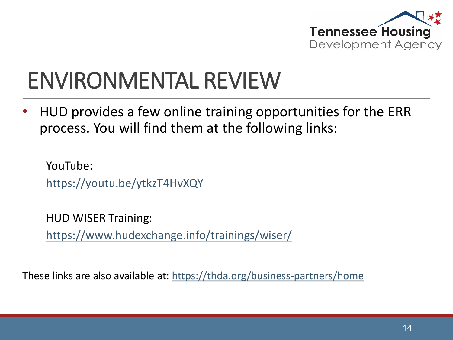

#### ENVIRONMENTAL REVIEW

• HUD provides a few online training opportunities for the ERR process. You will find them at the following links:

YouTube: <https://youtu.be/ytkzT4HvXQY>

HUD WISER Training: <https://www.hudexchange.info/trainings/wiser/>

These links are also available at:<https://thda.org/business-partners/home>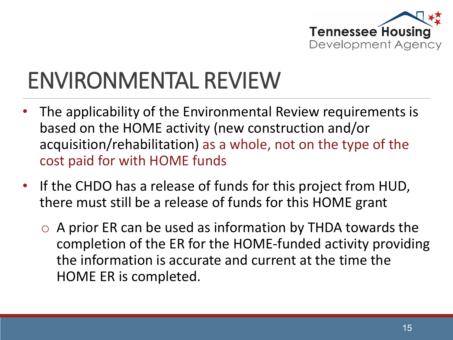

### ENVIRONMENTAL REVIEW

- The applicability of the Environmental Review requirements is based on the HOME activity (new construction and/or acquisition/rehabilitation) as a whole, not on the type of the cost paid for with HOME funds
- If the CHDO has a release of funds for this project from HUD, there must still be a release of funds for this HOME grant
	- $\circ$  A prior ER can be used as information by THDA towards the completion of the ER for the HOME-funded activity providing the information is accurate and current at the time the HOME ER is completed.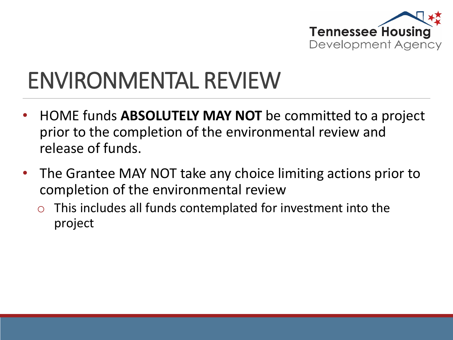

#### ENVIRONMENTAL REVIEW

- HOME funds **ABSOLUTELY MAY NOT** be committed to a project prior to the completion of the environmental review and release of funds.
- The Grantee MAY NOT take any choice limiting actions prior to completion of the environmental review
	- $\circ$  This includes all funds contemplated for investment into the project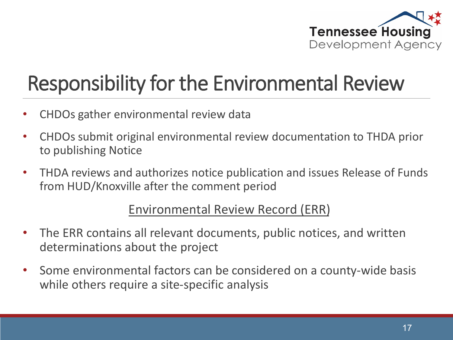

#### Responsibility for the Environmental Review

- CHDOs gather environmental review data
- CHDOs submit original environmental review documentation to THDA prior to publishing Notice
- THDA reviews and authorizes notice publication and issues Release of Funds from HUD/Knoxville after the comment period

#### Environmental Review Record (ERR)

- The ERR contains all relevant documents, public notices, and written determinations about the project
- Some environmental factors can be considered on a county-wide basis while others require a site-specific analysis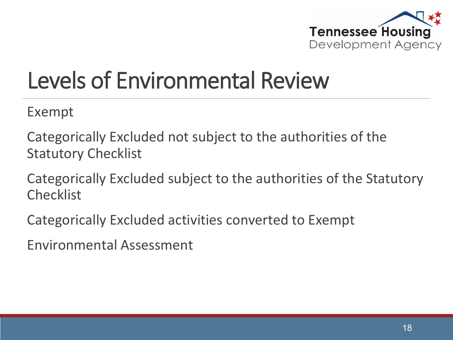

### Levels of Environmental Review

Exempt

Categorically Excluded not subject to the authorities of the Statutory Checklist

Categorically Excluded subject to the authorities of the Statutory Checklist

Categorically Excluded activities converted to Exempt

Environmental Assessment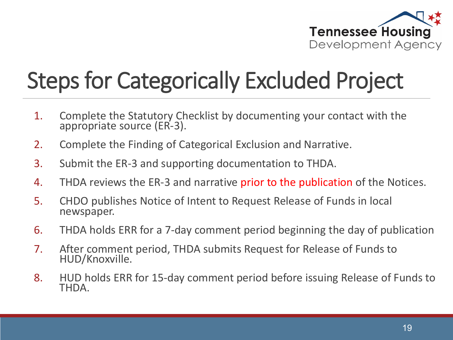

# Steps for Categorically Excluded Project

- 1. Complete the Statutory Checklist by documenting your contact with the appropriate source (ER-3).
- 2. Complete the Finding of Categorical Exclusion and Narrative.
- 3. Submit the ER-3 and supporting documentation to THDA.
- 4. THDA reviews the ER-3 and narrative prior to the publication of the Notices.
- 5. CHDO publishes Notice of Intent to Request Release of Funds in local newspaper.
- 6. THDA holds ERR for a 7-day comment period beginning the day of publication
- 7. After comment period, THDA submits Request for Release of Funds to HUD/Knoxville.
- 8. HUD holds ERR for 15-day comment period before issuing Release of Funds to THDA.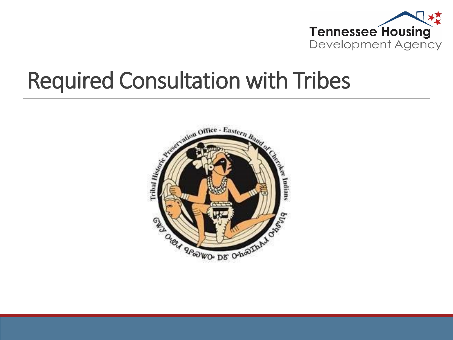

#### Required Consultation with Tribes

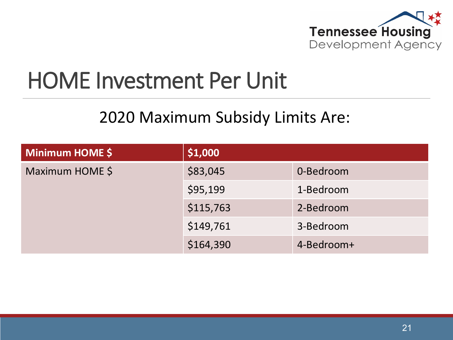

#### HOME Investment Per Unit

#### 2020 Maximum Subsidy Limits Are:

| Minimum HOME \$ | \$1,000   |            |
|-----------------|-----------|------------|
| Maximum HOME \$ | \$83,045  | 0-Bedroom  |
|                 | \$95,199  | 1-Bedroom  |
|                 | \$115,763 | 2-Bedroom  |
|                 | \$149,761 | 3-Bedroom  |
|                 | \$164,390 | 4-Bedroom+ |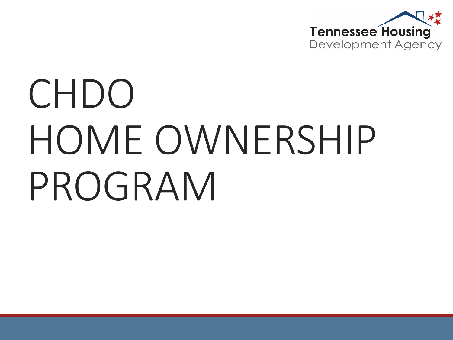

# CHDO HOME OWNERSHIP PROGRAM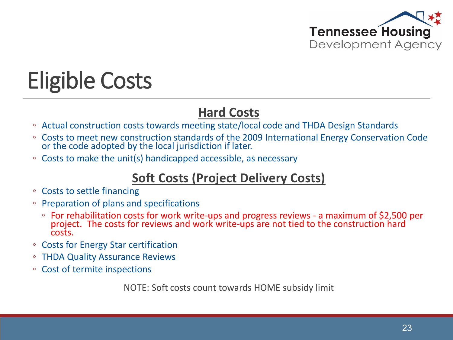

# Eligible Costs

#### **Hard Costs**

- Actual construction costs towards meeting state/local code and THDA Design Standards
- Costs to meet new construction standards of the 2009 International Energy Conservation Code or the code adopted by the local jurisdiction if later.
- Costs to make the unit(s) handicapped accessible, as necessary

#### **Soft Costs (Project Delivery Costs)**

- Costs to settle financing
- Preparation of plans and specifications
	- For rehabilitation costs for work write-ups and progress reviews a maximum of \$2,500 per project. The costs for reviews and work write-ups are not tied to the construction hard costs.
- Costs for Energy Star certification
- THDA Quality Assurance Reviews
- Cost of termite inspections

NOTE: Soft costs count towards HOME subsidy limit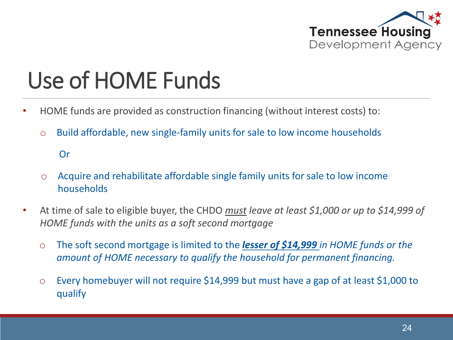

# Use of HOME Funds

- HOME funds are provided as construction financing (without interest costs) to:
	- o Build affordable, new single-family units for sale to low income households

Or

- o Acquire and rehabilitate affordable single family units for sale to low income households
- At time of sale to eligible buyer, the CHDO *must leave at least \$1,000 or up to \$14,999 of HOME funds with the units as a soft second mortgage*
	- o The soft second mortgage is limited to the *lesser of \$14,999 in HOME funds or the amount of HOME necessary to qualify the household for permanent financing.*
	- o Every homebuyer will not require \$14,999 but must have a gap of at least \$1,000 to qualify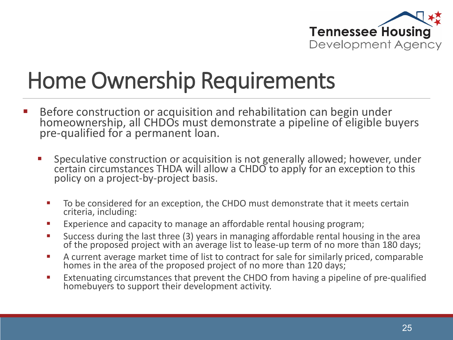

#### Home Ownership Requirements

- Before construction or acquisition and rehabilitation can begin under homeownership, all CHDOs must demonstrate a pipeline of eligible buyers pre-qualified for a permanent loan.
	- **Speculative construction or acquisition is not generally allowed; however, under** certain circumstances THDA will allow a CHDO to apply for an exception to this policy on a project-by-project basis.
		- To be considered for an exception, the CHDO must demonstrate that it meets certain criteria, including:
		- **Experience and capacity to manage an affordable rental housing program;**
		- Success during the last three (3) years in managing affordable rental housing in the area of the proposed project with an average list to lease-up term of no more than 180 days;
		- A current average market time of list to contract for sale for similarly priced, comparable homes in the area of the proposed project of no more than 120 days;
		- Extenuating circumstances that prevent the CHDO from having a pipeline of pre-qualified homebuyers to support their development activity.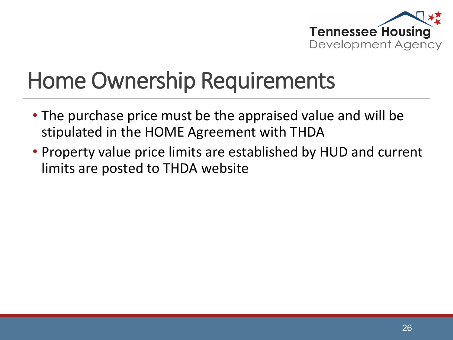

#### Home Ownership Requirements

- The purchase price must be the appraised value and will be stipulated in the HOME Agreement with THDA
- Property value price limits are established by HUD and current limits are posted to THDA website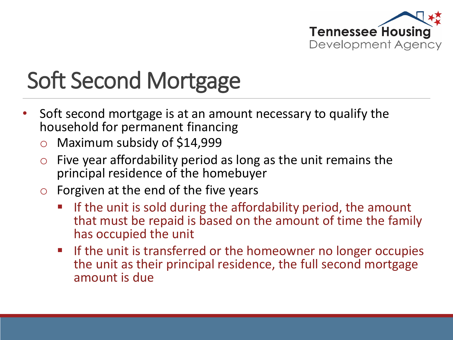

# Soft Second Mortgage

- Soft second mortgage is at an amount necessary to qualify the household for permanent financing
	- o Maximum subsidy of \$14,999
	- $\circ$  Five year affordability period as long as the unit remains the principal residence of the homebuyer
	- $\circ$  Forgiven at the end of the five years
		- **If the unit is sold during the affordability period, the amount** that must be repaid is based on the amount of time the family has occupied the unit
		- **If the unit is transferred or the homeowner no longer occupies** the unit as their principal residence, the full second mortgage amount is due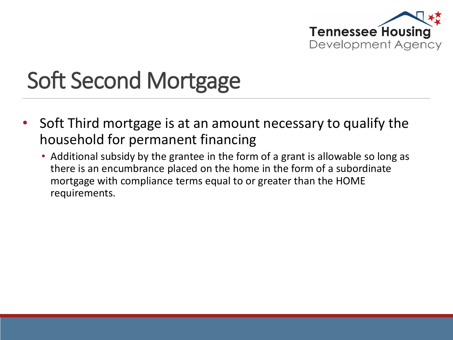

# Soft Second Mortgage

- Soft Third mortgage is at an amount necessary to qualify the household for permanent financing
	- Additional subsidy by the grantee in the form of a grant is allowable so long as there is an encumbrance placed on the home in the form of a subordinate mortgage with compliance terms equal to or greater than the HOME requirements.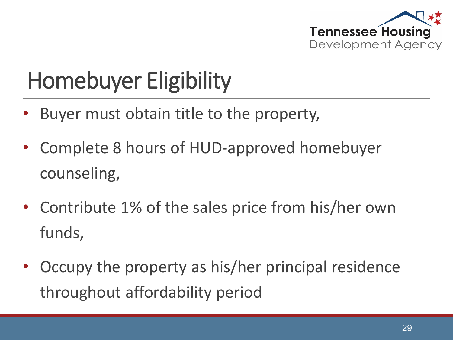

## Homebuyer Eligibility

- Buyer must obtain title to the property,
- Complete 8 hours of HUD-approved homebuyer counseling,
- Contribute 1% of the sales price from his/her own funds,
- Occupy the property as his/her principal residence throughout affordability period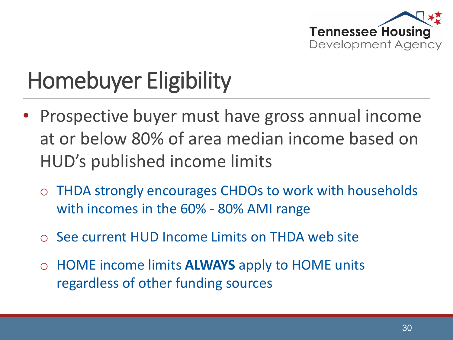

### Homebuyer Eligibility

- Prospective buyer must have gross annual income at or below 80% of area median income based on HUD's published income limits
	- o THDA strongly encourages CHDOs to work with households with incomes in the 60% - 80% AMI range
	- o See current HUD Income Limits on THDA web site
	- o HOME income limits **ALWAYS** apply to HOME units regardless of other funding sources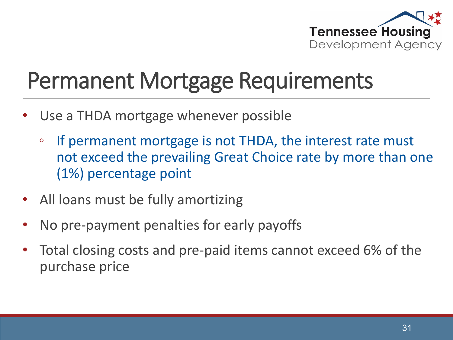

#### Permanent Mortgage Requirements

- Use a THDA mortgage whenever possible
	- If permanent mortgage is not THDA, the interest rate must not exceed the prevailing Great Choice rate by more than one (1%) percentage point
- All loans must be fully amortizing
- No pre-payment penalties for early payoffs
- Total closing costs and pre-paid items cannot exceed 6% of the purchase price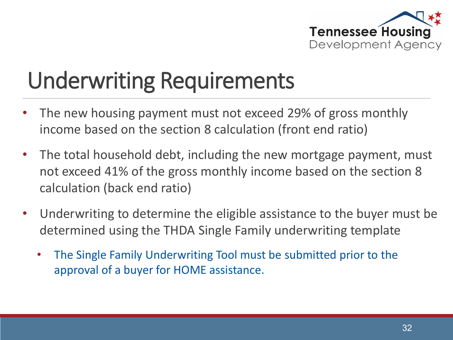

#### Underwriting Requirements

- The new housing payment must not exceed 29% of gross monthly income based on the section 8 calculation (front end ratio)
- The total household debt, including the new mortgage payment, must not exceed 41% of the gross monthly income based on the section 8 calculation (back end ratio)
- Underwriting to determine the eligible assistance to the buyer must be determined using the THDA Single Family underwriting template
	- The Single Family Underwriting Tool must be submitted prior to the approval of a buyer for HOME assistance.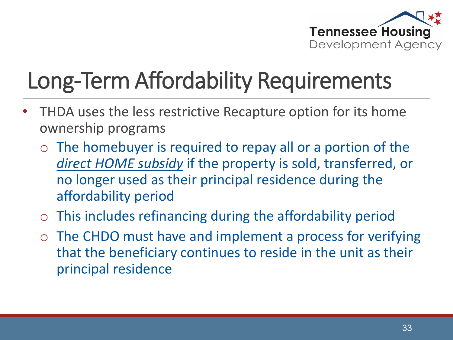

# Long-Term Affordability Requirements

- THDA uses the less restrictive Recapture option for its home ownership programs
	- o The homebuyer is required to repay all or a portion of the *direct HOME subsidy* if the property is sold, transferred, or no longer used as their principal residence during the affordability period
	- o This includes refinancing during the affordability period
	- o The CHDO must have and implement a process for verifying that the beneficiary continues to reside in the unit as their principal residence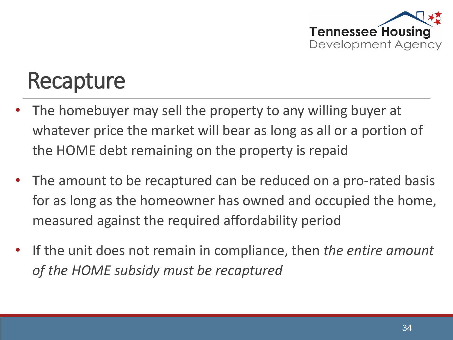

#### Recapture

- The homebuyer may sell the property to any willing buyer at whatever price the market will bear as long as all or a portion of the HOME debt remaining on the property is repaid
- The amount to be recaptured can be reduced on a pro-rated basis for as long as the homeowner has owned and occupied the home, measured against the required affordability period
- If the unit does not remain in compliance, then *the entire amount of the HOME subsidy must be recaptured*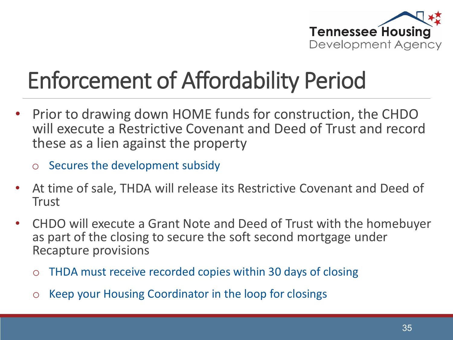

# Enforcement of Affordability Period

- Prior to drawing down HOME funds for construction, the CHDO will execute a Restrictive Covenant and Deed of Trust and record these as a lien against the property
	- o Secures the development subsidy
- At time of sale, THDA will release its Restrictive Covenant and Deed of **Trust**
- CHDO will execute a Grant Note and Deed of Trust with the homebuyer as part of the closing to secure the soft second mortgage under Recapture provisions
	- o THDA must receive recorded copies within 30 days of closing
	- o Keep your Housing Coordinator in the loop for closings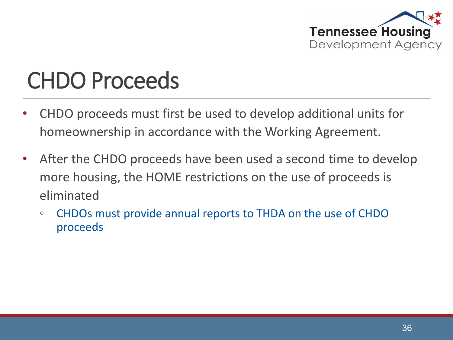

#### CHDO Proceeds

- CHDO proceeds must first be used to develop additional units for homeownership in accordance with the Working Agreement.
- After the CHDO proceeds have been used a second time to develop more housing, the HOME restrictions on the use of proceeds is eliminated
	- CHDOs must provide annual reports to THDA on the use of CHDO proceeds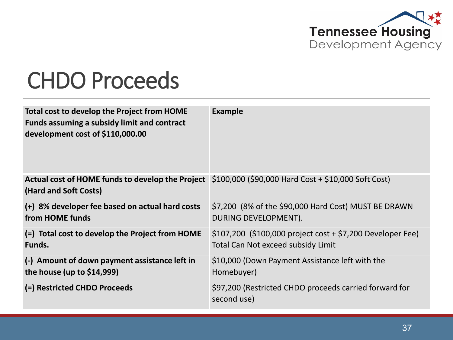

#### CHDO Proceeds

| Total cost to develop the Project from HOME<br><b>Funds assuming a subsidy limit and contract</b><br>development cost of \$110,000.00 | <b>Example</b>                                                        |
|---------------------------------------------------------------------------------------------------------------------------------------|-----------------------------------------------------------------------|
| Actual cost of HOME funds to develop the Project \$100,000 (\$90,000 Hard Cost + \$10,000 Soft Cost)<br>(Hard and Soft Costs)         |                                                                       |
| (+) 8% developer fee based on actual hard costs                                                                                       | \$7,200 (8% of the \$90,000 Hard Cost) MUST BE DRAWN                  |
| from HOME funds                                                                                                                       | DURING DEVELOPMENT).                                                  |
| (=) Total cost to develop the Project from HOME                                                                                       | $$107,200$ (\$100,000 project cost + \$7,200 Developer Fee)           |
| Funds.                                                                                                                                | Total Can Not exceed subsidy Limit                                    |
| (-) Amount of down payment assistance left in                                                                                         | \$10,000 (Down Payment Assistance left with the                       |
| the house (up to $$14,999$ )                                                                                                          | Homebuyer)                                                            |
| (=) Restricted CHDO Proceeds                                                                                                          | \$97,200 (Restricted CHDO proceeds carried forward for<br>second use) |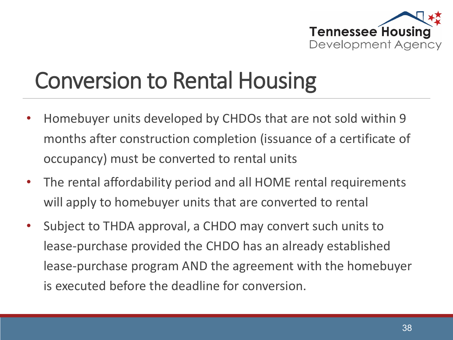

#### Conversion to Rental Housing

- Homebuyer units developed by CHDOs that are not sold within 9 months after construction completion (issuance of a certificate of occupancy) must be converted to rental units
- The rental affordability period and all HOME rental requirements will apply to homebuyer units that are converted to rental
- Subject to THDA approval, a CHDO may convert such units to lease-purchase provided the CHDO has an already established lease-purchase program AND the agreement with the homebuyer is executed before the deadline for conversion.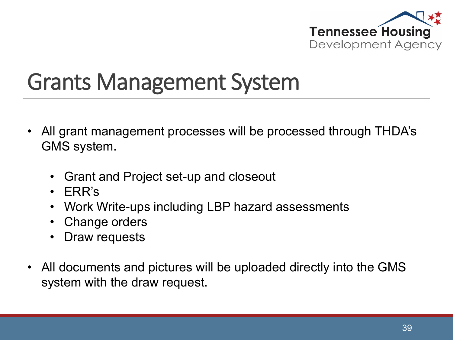

#### Grants Management System

- All grant management processes will be processed through THDA's GMS system.
	- Grant and Project set-up and closeout
	- ERR's
	- Work Write-ups including LBP hazard assessments
	- Change orders
	- Draw requests
- All documents and pictures will be uploaded directly into the GMS system with the draw request.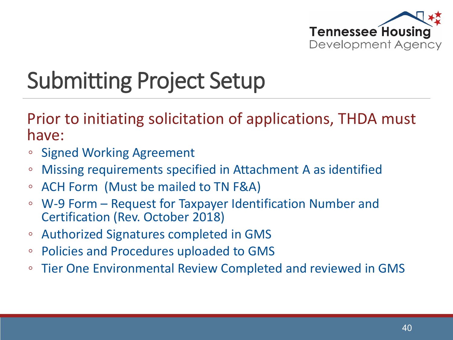

#### Submitting Project Setup

Prior to initiating solicitation of applications, THDA must have:

- Signed Working Agreement
- Missing requirements specified in Attachment A as identified
- ACH Form (Must be mailed to TN F&A)
- W-9 Form Request for Taxpayer Identification Number and Certification (Rev. October 2018)
- Authorized Signatures completed in GMS
- Policies and Procedures uploaded to GMS
- Tier One Environmental Review Completed and reviewed in GMS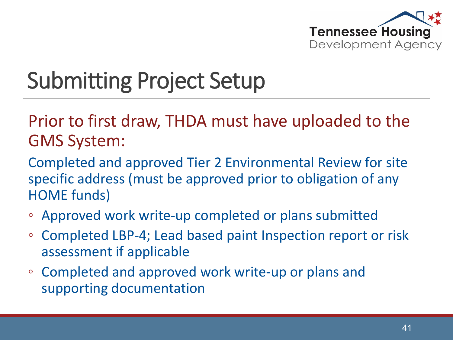

#### Submitting Project Setup

Prior to first draw, THDA must have uploaded to the GMS System:

Completed and approved Tier 2 Environmental Review for site specific address (must be approved prior to obligation of any HOME funds)

- Approved work write-up completed or plans submitted
- Completed LBP-4; Lead based paint Inspection report or risk assessment if applicable
- Completed and approved work write-up or plans and supporting documentation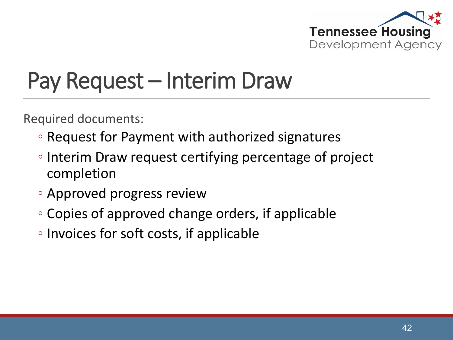

#### Pay Request – Interim Draw

Required documents:

- Request for Payment with authorized signatures
- Interim Draw request certifying percentage of project completion
- Approved progress review
- Copies of approved change orders, if applicable
- Invoices for soft costs, if applicable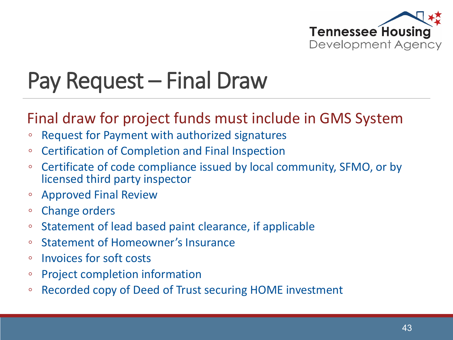

#### Pay Request – Final Draw

#### Final draw for project funds must include in GMS System

- Request for Payment with authorized signatures
- Certification of Completion and Final Inspection
- Certificate of code compliance issued by local community, SFMO, or by licensed third party inspector
- Approved Final Review
- Change orders
- Statement of lead based paint clearance, if applicable
- Statement of Homeowner's Insurance
- Invoices for soft costs
- Project completion information
- Recorded copy of Deed of Trust securing HOME investment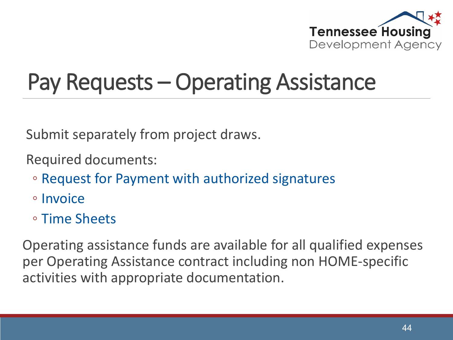

#### Pay Requests – Operating Assistance

Submit separately from project draws.

Required documents:

- Request for Payment with authorized signatures
- Invoice
- Time Sheets

Operating assistance funds are available for all qualified expenses per Operating Assistance contract including non HOME-specific activities with appropriate documentation.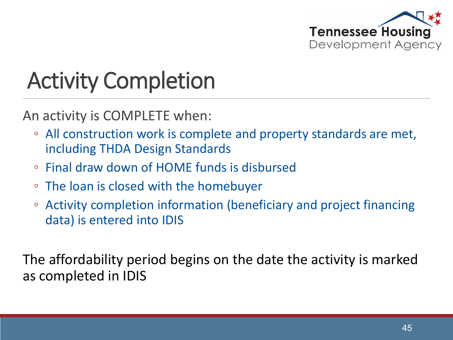

### Activity Completion

An activity is COMPLETE when:

- All construction work is complete and property standards are met, including THDA Design Standards
- Final draw down of HOME funds is disbursed
- The loan is closed with the homebuyer
- Activity completion information (beneficiary and project financing data) is entered into IDIS

The affordability period begins on the date the activity is marked as completed in IDIS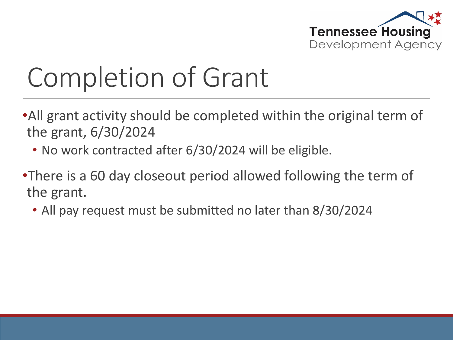

# Completion of Grant

- •All grant activity should be completed within the original term of the grant, 6/30/2024
	- No work contracted after 6/30/2024 will be eligible.
- •There is a 60 day closeout period allowed following the term of the grant.
	- All pay request must be submitted no later than 8/30/2024